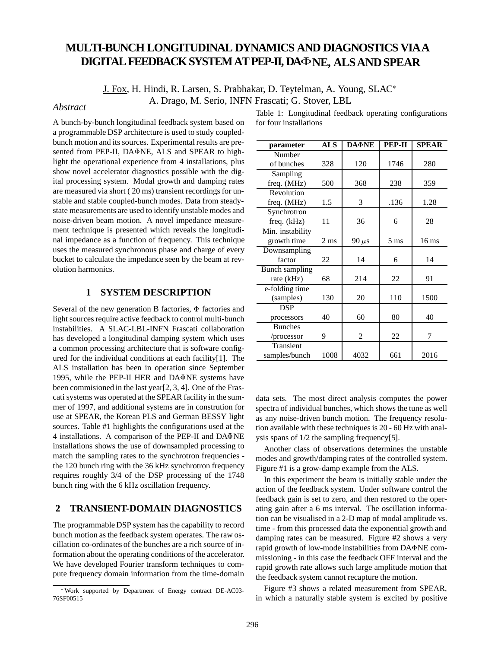# **MULTI-BUNCH LONGITUDINAL DYNAMICS AND DIAGNOSTICS VIA A DIGITAL FEEDBACK SYSTEM AT PEP-II, DANE, ALS AND SPEAR**

J. Fox, H. Hindi, R. Larsen, S. Prabhakar, D. Teytelman, A. Young, SLAC A. Drago, M. Serio, INFN Frascati; G. Stover, LBL *Abstract*

A bunch-by-bunch longitudinal feedback system based on a programmable DSP architecture is used to study coupledbunch motion and its sources. Experimental results are presented from PEP-II, DA $\Phi$ NE, ALS and SPEAR to highlight the operational experience from 4 installations, plus show novel accelerator diagnostics possible with the digital processing system. Modal growth and damping rates are measured via short ( 20 ms) transient recordings for unstable and stable coupled-bunch modes. Data from steadystate measurements are used to identify unstable modes and noise-driven beam motion. A novel impedance measurement technique is presented which reveals the longitudinal impedance as a function of frequency. This technique uses the measured synchronous phase and charge of every bucket to calculate the impedance seen by the beam at revolution harmonics.

# **1 SYSTEM DESCRIPTION**

Several of the new generation B factories,  $\Phi$  factories and light sources require active feedback to control multi-bunch instabilities. A SLAC-LBL-INFN Frascati collaboration has developed a longitudinal damping system which uses a common processing architecture that is software configured for the individual conditions at each facility[1]. The ALS installation has been in operation since September 1995, while the PEP-II HER and  $DA\Phi NE$  systems have been commisioned in the last year[2, 3, 4]. One of the Frascati systems was operated at the SPEAR facility in the summer of 1997, and additional systems are in constrution for use at SPEAR, the Korean PLS and German BESSY light sources. Table #1 highlights the configurations used at the 4 installations. A comparison of the PEP-II and DANE installations shows the use of downsampled processing to match the sampling rates to the synchrotron frequencies the 120 bunch ring with the 36 kHz synchrotron frequency requires roughly 3/4 of the DSP processing of the 1748 bunch ring with the 6 kHz oscillation frequency.

# **2 TRANSIENT-DOMAIN DIAGNOSTICS**

The programmable DSP system has the capability to record bunch motion as the feedback system operates. The raw oscillation co-ordinates of the bunches are a rich source of information about the operating conditions of the accelerator. We have developed Fourier transform techniques to compute frequency domain information from the time-domain

| parameter        | <b>ALS</b>     | <b>DA NE</b> | PEP-II         | <b>SPEAR</b>     |
|------------------|----------------|--------------|----------------|------------------|
| Number           |                |              |                |                  |
| of bunches       | 328            | 120          | 1746           | 280              |
| Sampling         |                |              |                |                  |
| freq. (MHz)      | 500            | 368          | 238            | 359              |
| Revolution       |                |              |                |                  |
| freq. (MHz)      | 1.5            | 3            | .136           | 1.28             |
| Synchrotron      |                |              |                |                  |
| freq. (kHz)      | 11             | 36           | 6              | 28               |
| Min. instability |                |              |                |                  |
| growth time      | $2 \text{ ms}$ | $90 \mu s$   | $5 \text{ ms}$ | 16 <sub>ms</sub> |
| Downsampling     |                |              |                |                  |
| factor           | 22             | 14           | 6              | 14               |
| Bunch sampling   |                |              |                |                  |
| rate (kHz)       | 68             | 214          | 22             | 91               |
| e-folding time   |                |              |                |                  |
| (samples)        | 130            | 20           | 110            | 1500             |
| DSP              |                |              |                |                  |
| processors       | 40             | 60           | 80             | 40               |
| <b>Bunches</b>   |                |              |                |                  |
| /processor       | 9              | 2            | 22             | 7                |
| Transient        |                |              |                |                  |
| samples/bunch    | 1008           | 4032         | 661            | 2016             |

Table 1: Longitudinal feedback operating configurations for four installations

data sets. The most direct analysis computes the power spectra of individual bunches, which shows the tune as well as any noise-driven bunch motion. The frequency resolution available with these techniques is 20 - 60 Hz with analysis spans of 1/2 the sampling frequency[5].

Another class of observations determines the unstable modes and growth/damping rates of the controlled system. Figure #1 is a grow-damp example from the ALS.

In this experiment the beam is initially stable under the action of the feedback system. Under software control the feedback gain is set to zero, and then restored to the operating gain after a 6 ms interval. The oscillation information can be visualised in a 2-D map of modal amplitude vs. time - from this processed data the exponential growth and damping rates can be measured. Figure #2 shows a very rapid growth of low-mode instabilities from DAΦNE commissioning - in this case the feedback OFF interval and the rapid growth rate allows such large amplitude motion that the feedback system cannot recapture the motion.

Figure #3 shows a related measurement from SPEAR, in which a naturally stable system is excited by positive

Work supported by Department of Energy contract DE-AC03- 76SF00515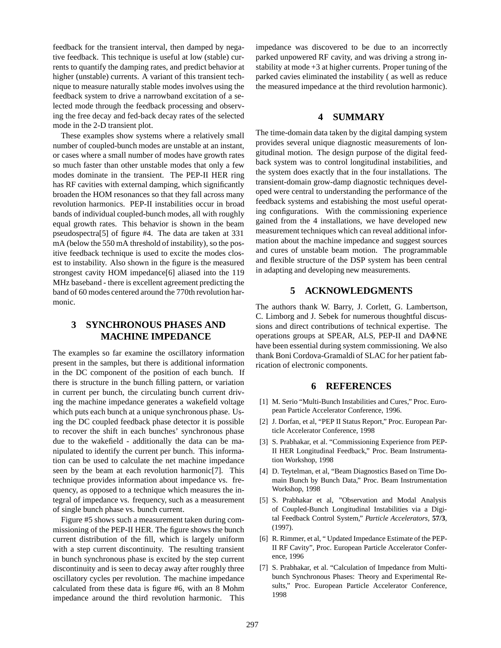feedback for the transient interval, then damped by negative feedback. This technique is useful at low (stable) currents to quantify the damping rates, and predict behavior at higher (unstable) currents. A variant of this transient technique to measure naturally stable modes involves using the feedback system to drive a narrowband excitation of a selected mode through the feedback processing and observing the free decay and fed-back decay rates of the selected mode in the 2-D transient plot.

These examples show systems where a relatively small number of coupled-bunch modes are unstable at an instant, or cases where a small number of modes have growth rates so much faster than other unstable modes that only a few modes dominate in the transient. The PEP-II HER ring has RF cavities with external damping, which significantly broaden the HOM resonances so that they fall across many revolution harmonics. PEP-II instabilities occur in broad bands of individual coupled-bunch modes, all with roughly equal growth rates. This behavior is shown in the beam pseudospectra[5] of figure #4. The data are taken at 331 mA (below the 550 mA threshold of instability), so the positive feedback technique is used to excite the modes closest to instability. Also shown in the figure is the measured strongest cavity HOM impedance[6] aliased into the 119 MHz baseband - there is excellent agreement predicting the band of 60 modes centered around the 770th revolution harmonic.

# **3 SYNCHRONOUS PHASES AND MACHINE IMPEDANCE**

The examples so far examine the oscillatory information present in the samples, but there is additional information in the DC component of the position of each bunch. If there is structure in the bunch filling pattern, or variation in current per bunch, the circulating bunch current driving the machine impedance generates a wakefield voltage which puts each bunch at a unique synchronous phase. Using the DC coupled feedback phase detector it is possible to recover the shift in each bunches' synchronous phase due to the wakefield - additionally the data can be manipulated to identify the current per bunch. This information can be used to calculate the net machine impedance seen by the beam at each revolution harmonic[7]. This technique provides information about impedance vs. frequency, as opposed to a technique which measures the integral of impedance vs. frequency, such as a measurement of single bunch phase vs. bunch current.

Figure #5 shows such a measurement taken during commissioning of the PEP-II HER. The figure shows the bunch current distribution of the fill, which is largely uniform with a step current discontinuity. The resulting transient in bunch synchronous phase is excited by the step current discontinuity and is seen to decay away after roughly three oscillatory cycles per revolution. The machine impedance calculated from these data is figure #6, with an 8 Mohm impedance around the third revolution harmonic. This

impedance was discovered to be due to an incorrectly parked unpowered RF cavity, and was driving a strong instability at mode +3 at higher currents. Proper tuning of the parked cavies eliminated the instability ( as well as reduce the measured impedance at the third revolution harmonic).

# **4 SUMMARY**

The time-domain data taken by the digital damping system provides several unique diagnostic measurements of longitudinal motion. The design purpose of the digital feedback system was to control longitudinal instabilities, and the system does exactly that in the four installations. The transient-domain grow-damp diagnostic techniques developed were central to understanding the performance of the feedback systems and estabishing the most useful operating configurations. With the commissioning experience gained from the 4 installations, we have developed new measurement techniques which can reveal additional information about the machine impedance and suggest sources and cures of unstable beam motion. The programmable and flexible structure of the DSP system has been central in adapting and developing new measurements.

## **5 ACKNOWLEDGMENTS**

The authors thank W. Barry, J. Corlett, G. Lambertson, C. Limborg and J. Sebek for numerous thoughtful discussions and direct contributions of technical expertise. The operations groups at SPEAR, ALS, PEP-II and DA $\Phi$ NE have been essential during system commissioning. We also thank Boni Cordova-Gramaldi of SLAC for her patient fabrication of electronic components.

### **6 REFERENCES**

- [1] M. Serio "Multi-Bunch Instabilities and Cures," Proc. European Particle Accelerator Conference, 1996.
- [2] J. Dorfan, et al, "PEP II Status Report," Proc. European Particle Accelerator Conference, 1998
- [3] S. Prabhakar, et al. "Commissioning Experience from PEP-II HER Longitudinal Feedback," Proc. Beam Instrumentation Workshop, 1998
- [4] D. Teytelman, et al, "Beam Diagnostics Based on Time Domain Bunch by Bunch Data," Proc. Beam Instrumentation Workshop, 1998
- [5] S. Prabhakar et al, "Observation and Modal Analysis of Coupled-Bunch Longitudinal Instabilities via a Digital Feedback Control System," *Particle Accelerators*, **57/3**, (1997).
- [6] R. Rimmer, et al, " Updated Impedance Estimate of the PEP-II RF Cavity", Proc. European Particle Accelerator Conference, 1996
- [7] S. Prabhakar, et al. "Calculation of Impedance from Multibunch Synchronous Phases: Theory and Experimental Results," Proc. European Particle Accelerator Conference, 1998